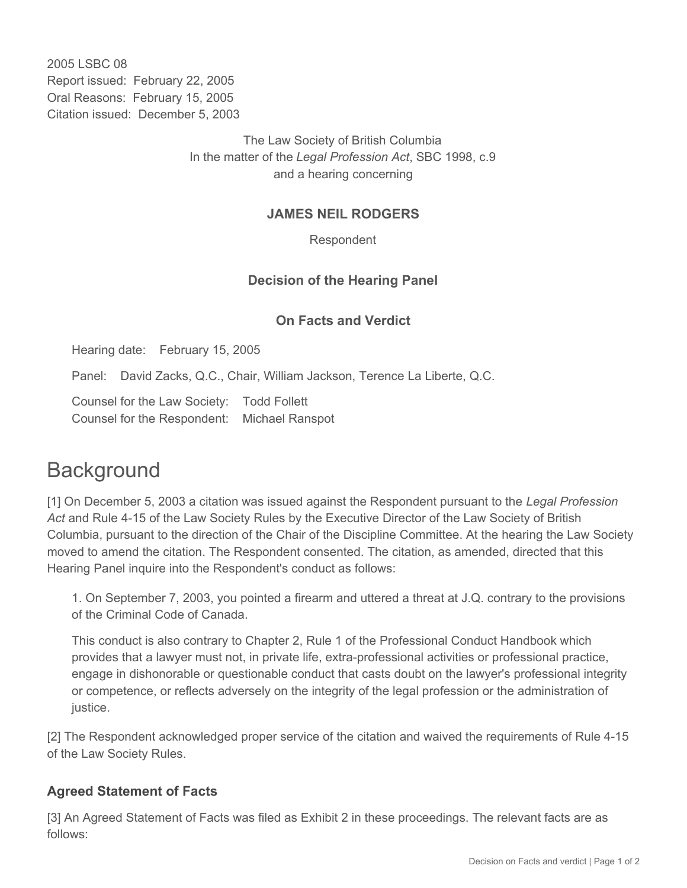2005 LSBC 08 Report issued: February 22, 2005 Oral Reasons: February 15, 2005 Citation issued: December 5, 2003

> The Law Society of British Columbia In the matter of the *Legal Profession Act*, SBC 1998, c.9 and a hearing concerning

### **JAMES NEIL RODGERS**

Respondent

## **Decision of the Hearing Panel**

#### **On Facts and Verdict**

Hearing date: February 15, 2005

Panel: David Zacks, Q.C., Chair, William Jackson, Terence La Liberte, Q.C.

Counsel for the Law Society: Todd Follett Counsel for the Respondent: Michael Ranspot

# **Background**

[1] On December 5, 2003 a citation was issued against the Respondent pursuant to the *Legal Profession Act* and Rule 4-15 of the Law Society Rules by the Executive Director of the Law Society of British Columbia, pursuant to the direction of the Chair of the Discipline Committee. At the hearing the Law Society moved to amend the citation. The Respondent consented. The citation, as amended, directed that this Hearing Panel inquire into the Respondent's conduct as follows:

1. On September 7, 2003, you pointed a firearm and uttered a threat at J.Q. contrary to the provisions of the Criminal Code of Canada.

This conduct is also contrary to Chapter 2, Rule 1 of the Professional Conduct Handbook which provides that a lawyer must not, in private life, extra-professional activities or professional practice, engage in dishonorable or questionable conduct that casts doubt on the lawyer's professional integrity or competence, or reflects adversely on the integrity of the legal profession or the administration of justice.

[2] The Respondent acknowledged proper service of the citation and waived the requirements of Rule 4-15 of the Law Society Rules.

#### **Agreed Statement of Facts**

[3] An Agreed Statement of Facts was filed as Exhibit 2 in these proceedings. The relevant facts are as follows: